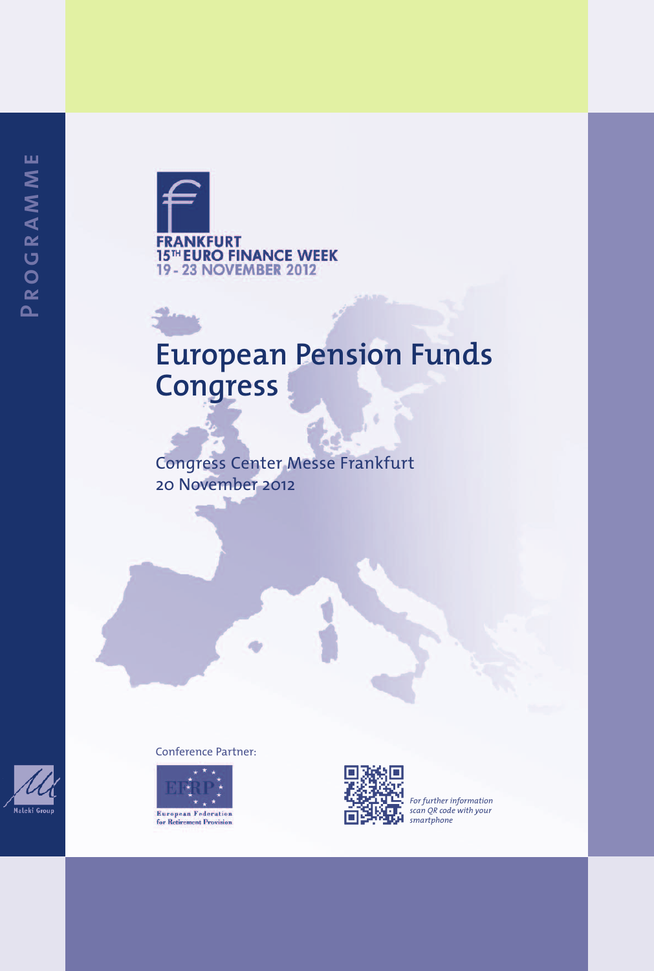

# **European Pension Funds Congress**

Congress Center Messe Frankfurt 20 November 2012



#### Conference Partner:





*For further information scan QR code with your smartphone*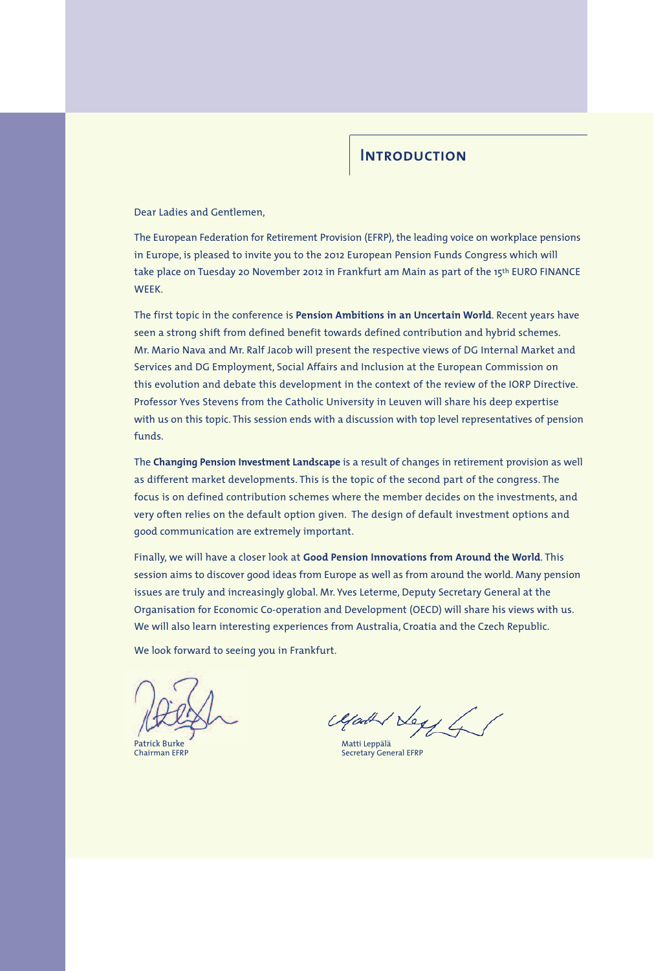#### **Introduction**

Dear Ladies and Gentlemen,

The European Federation for Retirement Provision (EFRP), the leading voice on workplace pensions in Europe, is pleased to invite you to the 2012 European Pension Funds Congress which will take place on Tuesday 20 November 2012 in Frankfurt am Main as part of the 15th EURO FINANCE **WEEK** 

The first topic in the conference is **Pension Ambitions in an Uncertain World**. Recent years have seen a strong shift from defined benefit towards defined contribution and hybrid schemes. Mr. Mario Nava and Mr. Ralf Jacob will present the respective views of DG Internal Market and Services and DG Employment, Social Affairs and Inclusion at the European Commission on this evolution and debate this development in the context of the review of the IORP Directive. Professor Yves Stevens from the Catholic University in Leuven will share his deep expertise with us on this topic. This session ends with a discussion with top level representatives of pension funds.

The **Changing Pension Investment Landscape** is a result of changes in retirement provision as well as different market developments. This is the topic of the second part of the congress. The focus is on defined contribution schemes where the member decides on the investments, and very often relies on the default option given. The design of default investment options and good communication are extremely important.

Finally, we will have a closer look at **Good Pension Innovations from Around the World**. This session aims to discover good ideas from Europe as well as from around the world. Many pension issues are truly and increasingly global. Mr. Yves Leterme, Deputy Secretary General at the Organisation for Economic Co-operation and Development (OECD) will share his views with us. We will also learn interesting experiences from Australia, Croatia and the Czech Republic.

We look forward to seeing you in Frankfurt.

 $\mu$ 

Secretary General EFRP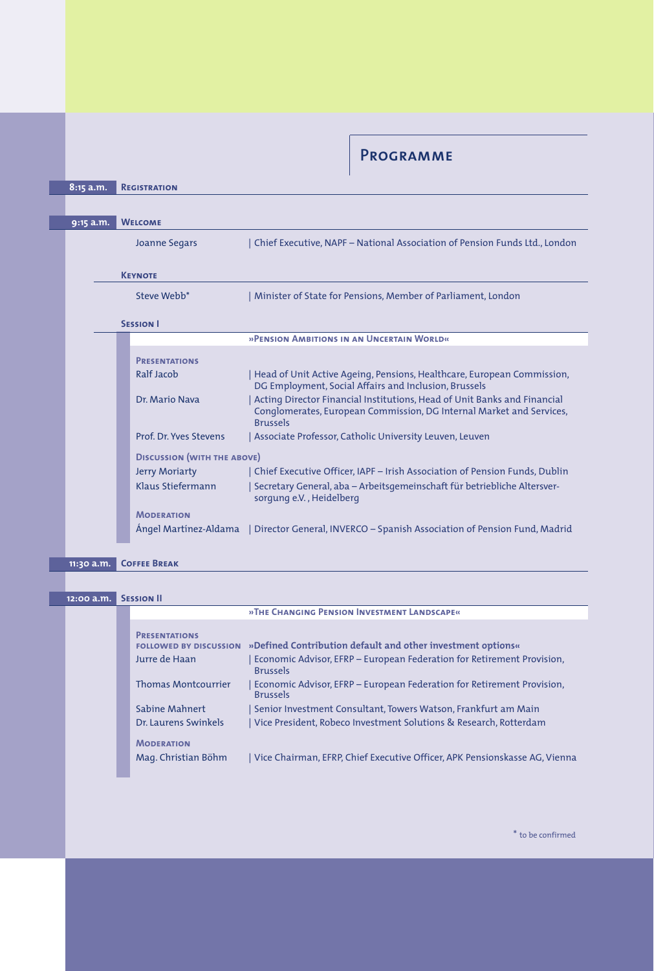**Programme**

|  | 8:15 a.m. | <b>REGISTRATION</b>                |                                                                                                                                                                     |
|--|-----------|------------------------------------|---------------------------------------------------------------------------------------------------------------------------------------------------------------------|
|  |           |                                    |                                                                                                                                                                     |
|  | 9:15 a.m. | <b>WELCOME</b>                     |                                                                                                                                                                     |
|  |           |                                    |                                                                                                                                                                     |
|  |           | <b>Joanne Segars</b>               | Chief Executive, NAPF - National Association of Pension Funds Ltd., London                                                                                          |
|  |           |                                    |                                                                                                                                                                     |
|  |           | <b>KEYNOTE</b>                     |                                                                                                                                                                     |
|  |           | Steve Webb <sup>*</sup>            | Minister of State for Pensions, Member of Parliament, London                                                                                                        |
|  |           |                                    |                                                                                                                                                                     |
|  |           | <b>SESSION I</b>                   |                                                                                                                                                                     |
|  |           |                                    | »PENSION AMBITIONS IN AN UNCERTAIN WORLD«                                                                                                                           |
|  |           |                                    |                                                                                                                                                                     |
|  |           | <b>PRESENTATIONS</b>               |                                                                                                                                                                     |
|  |           | Ralf Jacob                         | Head of Unit Active Ageing, Pensions, Healthcare, European Commission,<br>DG Employment, Social Affairs and Inclusion, Brussels                                     |
|  |           | Dr. Mario Nava                     | Acting Director Financial Institutions, Head of Unit Banks and Financial<br>Conglomerates, European Commission, DG Internal Market and Services,<br><b>Brussels</b> |
|  |           | Prof. Dr. Yves Stevens             | Associate Professor, Catholic University Leuven, Leuven                                                                                                             |
|  |           | <b>DISCUSSION (WITH THE ABOVE)</b> |                                                                                                                                                                     |
|  |           |                                    |                                                                                                                                                                     |
|  |           | <b>Jerry Moriarty</b>              | Chief Executive Officer, IAPF - Irish Association of Pension Funds, Dublin                                                                                          |
|  |           | Klaus Stiefermann                  | Secretary General, aba – Arbeitsgemeinschaft für betriebliche Altersver-<br>sorgung e.V., Heidelberg                                                                |
|  |           | <b>MODERATION</b>                  |                                                                                                                                                                     |
|  |           |                                    | Angel Martinez-Aldama   Director General, INVERCO – Spanish Association of Pension Fund, Madrid                                                                     |
|  |           |                                    |                                                                                                                                                                     |
|  |           | Correr Dorsey                      |                                                                                                                                                                     |

| 11:30 a.m. COFFEE BREAK |  |
|-------------------------|--|
|-------------------------|--|

| 12:00 a.m. | <b>SESSION II</b>                                                                                    |                                                                                                                                                                                                                                                       |
|------------|------------------------------------------------------------------------------------------------------|-------------------------------------------------------------------------------------------------------------------------------------------------------------------------------------------------------------------------------------------------------|
|            |                                                                                                      | »THE CHANGING PENSION INVESTMENT LANDSCAPE«                                                                                                                                                                                                           |
|            | <b>PRESENTATIONS</b><br><b>FOLLOWED BY DISCUSSION</b><br>Jurre de Haan<br><b>Thomas Montcourrier</b> | »Defined Contribution default and other investment options«<br>Economic Advisor, EFRP - European Federation for Retirement Provision,<br><b>Brussels</b><br>Economic Advisor, EFRP – European Federation for Retirement Provision,<br><b>Brussels</b> |
|            | Sabine Mahnert<br>Dr. Laurens Swinkels<br><b>MODERATION</b><br>Mag. Christian Böhm                   | Senior Investment Consultant, Towers Watson, Frankfurt am Main<br>Vice President, Robeco Investment Solutions & Research, Rotterdam<br>Vice Chairman, EFRP, Chief Executive Officer, APK Pensionskasse AG, Vienna                                     |

 $^\ast$  to be confirmed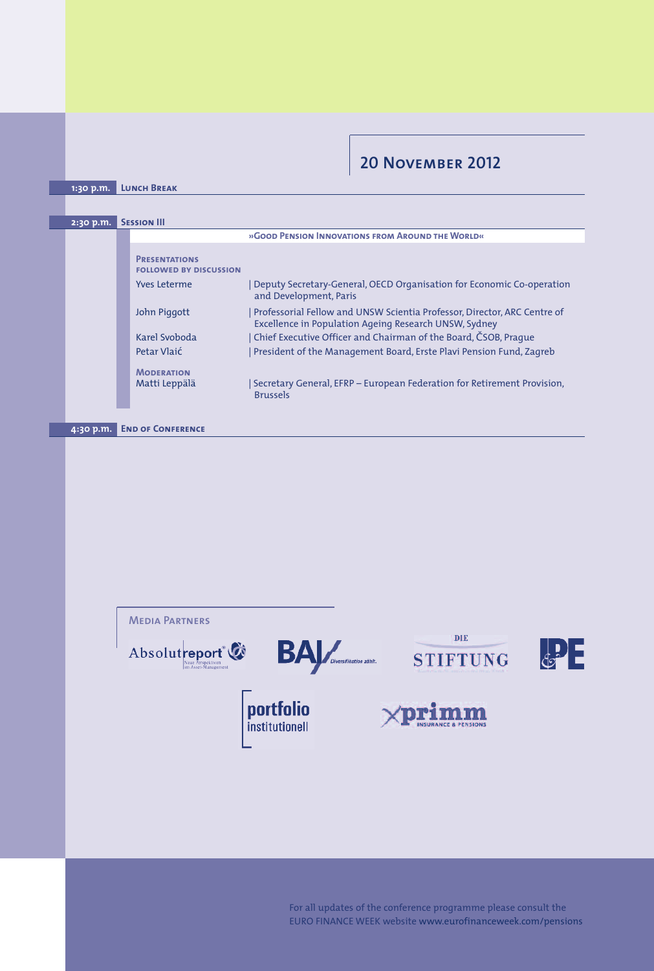### **20 November 2012**

**1:30 p.m. Lunch Break**

| 2:30 p.m.                             | <b>SESSION III</b> |                                                       |                                                                                                                                   |
|---------------------------------------|--------------------|-------------------------------------------------------|-----------------------------------------------------------------------------------------------------------------------------------|
|                                       |                    |                                                       | »GOOD PENSION INNOVATIONS FROM AROUND THE WORLD«                                                                                  |
|                                       |                    | <b>PRESENTATIONS</b><br><b>FOLLOWED BY DISCUSSION</b> |                                                                                                                                   |
|                                       |                    | <b>Yves Leterme</b>                                   | Deputy Secretary-General, OECD Organisation for Economic Co-operation<br>and Development, Paris                                   |
|                                       |                    | John Piggott                                          | Professorial Fellow and UNSW Scientia Professor, Director, ARC Centre of<br>Excellence in Population Ageing Research UNSW, Sydney |
|                                       |                    | Karel Svoboda                                         | Chief Executive Officer and Chairman of the Board, ČSOB, Praque                                                                   |
|                                       |                    | Petar Vlaić                                           | President of the Management Board, Erste Plavi Pension Fund, Zagreb                                                               |
|                                       |                    | <b>MODERATION</b>                                     |                                                                                                                                   |
|                                       |                    | Matti Leppälä                                         | Secretary General, EFRP – European Federation for Retirement Provision,<br><b>Brussels</b>                                        |
|                                       |                    |                                                       |                                                                                                                                   |
| <b>END OF CONFERENCE</b><br>4:30 p.m. |                    |                                                       |                                                                                                                                   |



For all updates of the conference programme please consult the EURO FINANCE WEEK website www.eurofinanceweek.com/pensions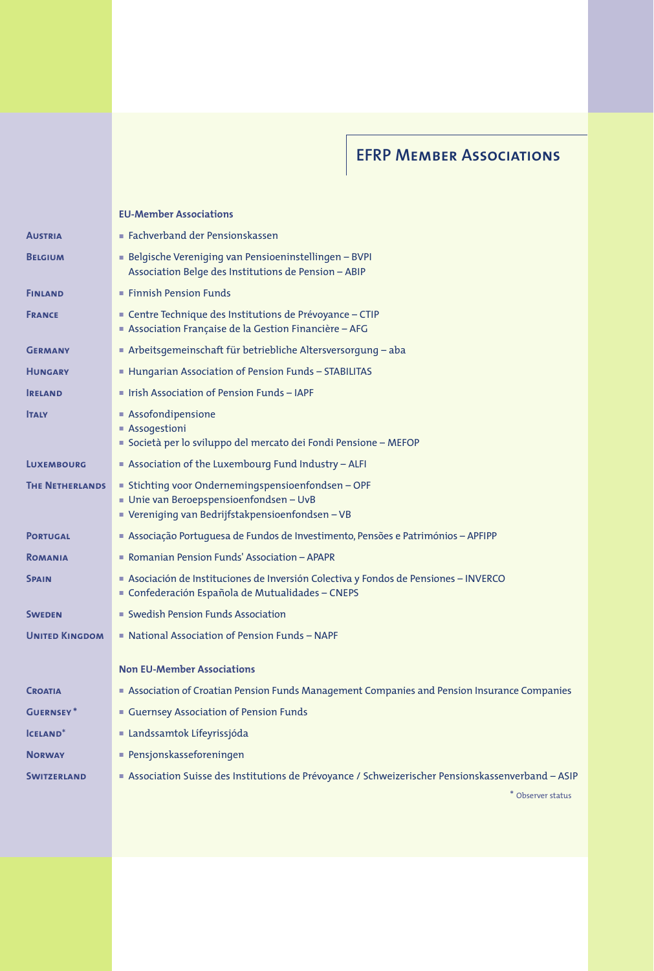## **EFRP Member Associations**

|                        | <b>EU-Member Associations</b>                                                                                                                     |
|------------------------|---------------------------------------------------------------------------------------------------------------------------------------------------|
| <b>AUSTRIA</b>         | $\blacksquare$ Fachverband der Pensionskassen                                                                                                     |
| <b>BELGIUM</b>         | Belgische Vereniging van Pensioeninstellingen - BVPI<br>Association Belge des Institutions de Pension - ABIP                                      |
| <b>FINLAND</b>         | <b>Finnish Pension Funds</b>                                                                                                                      |
| <b>FRANCE</b>          | ■ Centre Technique des Institutions de Prévoyance – CTIP<br>Association Française de la Gestion Financière – AFG                                  |
| <b>GERMANY</b>         | ■ Arbeitsgemeinschaft für betriebliche Altersversorgung – aba                                                                                     |
| <b>HUNGARY</b>         | $\blacksquare$ Hungarian Association of Pension Funds – STABILITAS                                                                                |
| <b>RELAND</b>          | lish Association of Pension Funds - IAPF                                                                                                          |
| <b>TALY</b>            | ■ Assofondipensione<br>■ Assogestioni<br>Società per lo sviluppo del mercato dei Fondi Pensione - MEFOP                                           |
| <b>LUXEMBOURG</b>      | Association of the Luxembourg Fund Industry - ALFI                                                                                                |
| <b>THE NETHERLANDS</b> | ■ Stichting voor Ondernemingspensioenfondsen – OPF<br>■ Unie van Beroepspensioenfondsen – UvB<br>■ Vereniging van Bedrijfstakpensioenfondsen - VB |
| <b>PORTUGAL</b>        | $\blacksquare$ Associação Portuguesa de Fundos de Investimento, Pensões e Patrimónios – APFIPP                                                    |
| <b>ROMANIA</b>         | • Romanian Pension Funds' Association – APAPR                                                                                                     |
| <b>SPAIN</b>           | Asociación de Instituciones de Inversión Colectiva y Fondos de Pensiones - INVERCO<br>Confederación Española de Mutualidades - CNEPS              |
| <b>SWEDEN</b>          | • Swedish Pension Funds Association                                                                                                               |
| <b>UNITED KINGDOM</b>  | $\blacksquare$ National Association of Pension Funds – NAPF                                                                                       |
|                        | <b>Non EU-Member Associations</b>                                                                                                                 |
| <b>CROATIA</b>         | Sessociation of Croatian Pension Funds Management Companies and Pension Insurance Companies                                                       |
| <b>GUERNSEY*</b>       | Guernsey Association of Pension Funds                                                                                                             |
| <b>ICELAND*</b>        | ■ Landssamtok Lífeyrissjóda                                                                                                                       |
| <b>NORWAY</b>          | $\blacksquare$ Pensjonskasseforeningen                                                                                                            |
| <b>SWITZERLAND</b>     | Association Suisse des Institutions de Prévoyance / Schweizerischer Pensionskassenverband - ASIP                                                  |
|                        | * Observer status                                                                                                                                 |